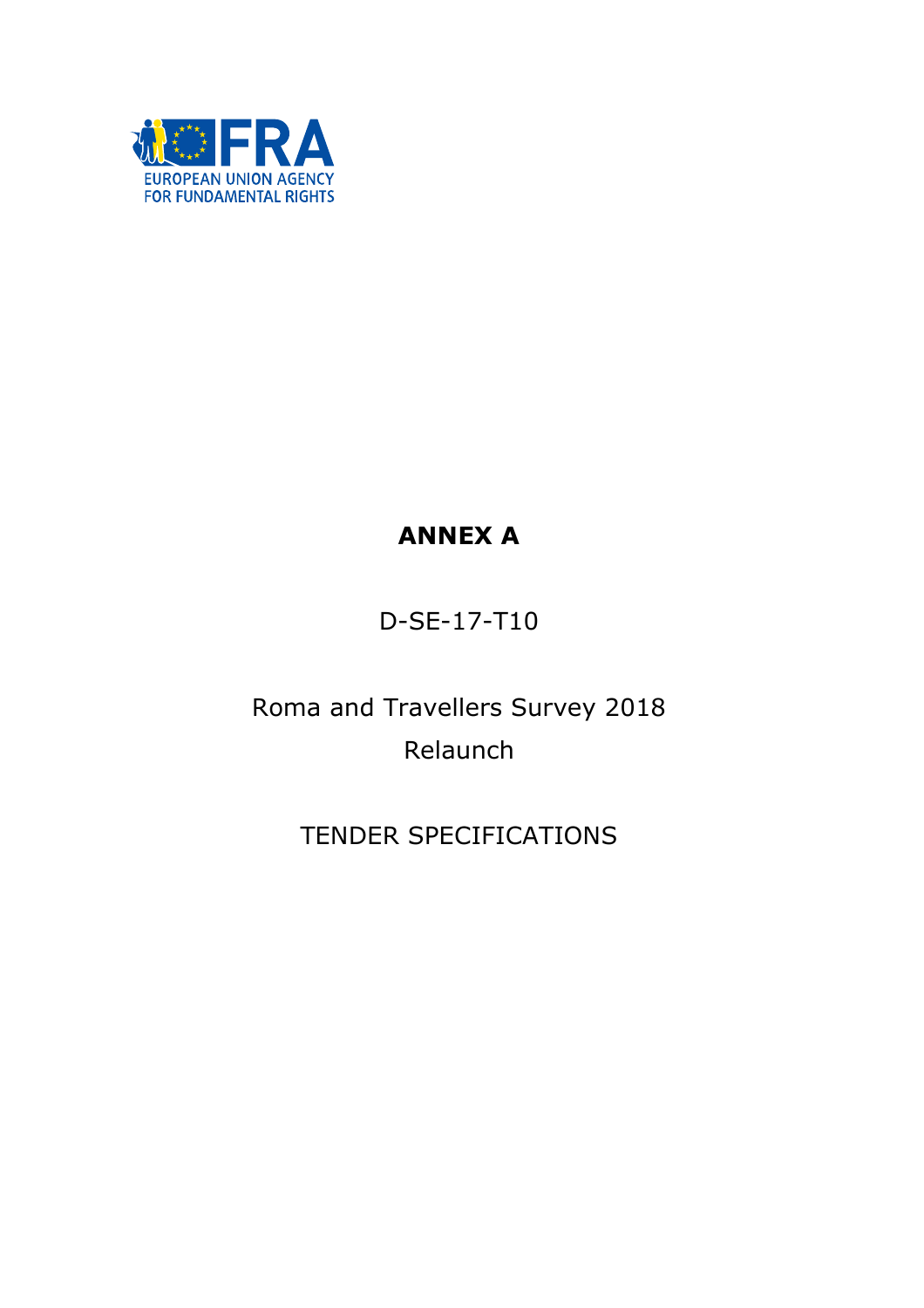

# ANNEX A

## D-SE-17-T10

# Roma and Travellers Survey 2018 Relaunch

## TENDER SPECIFICATIONS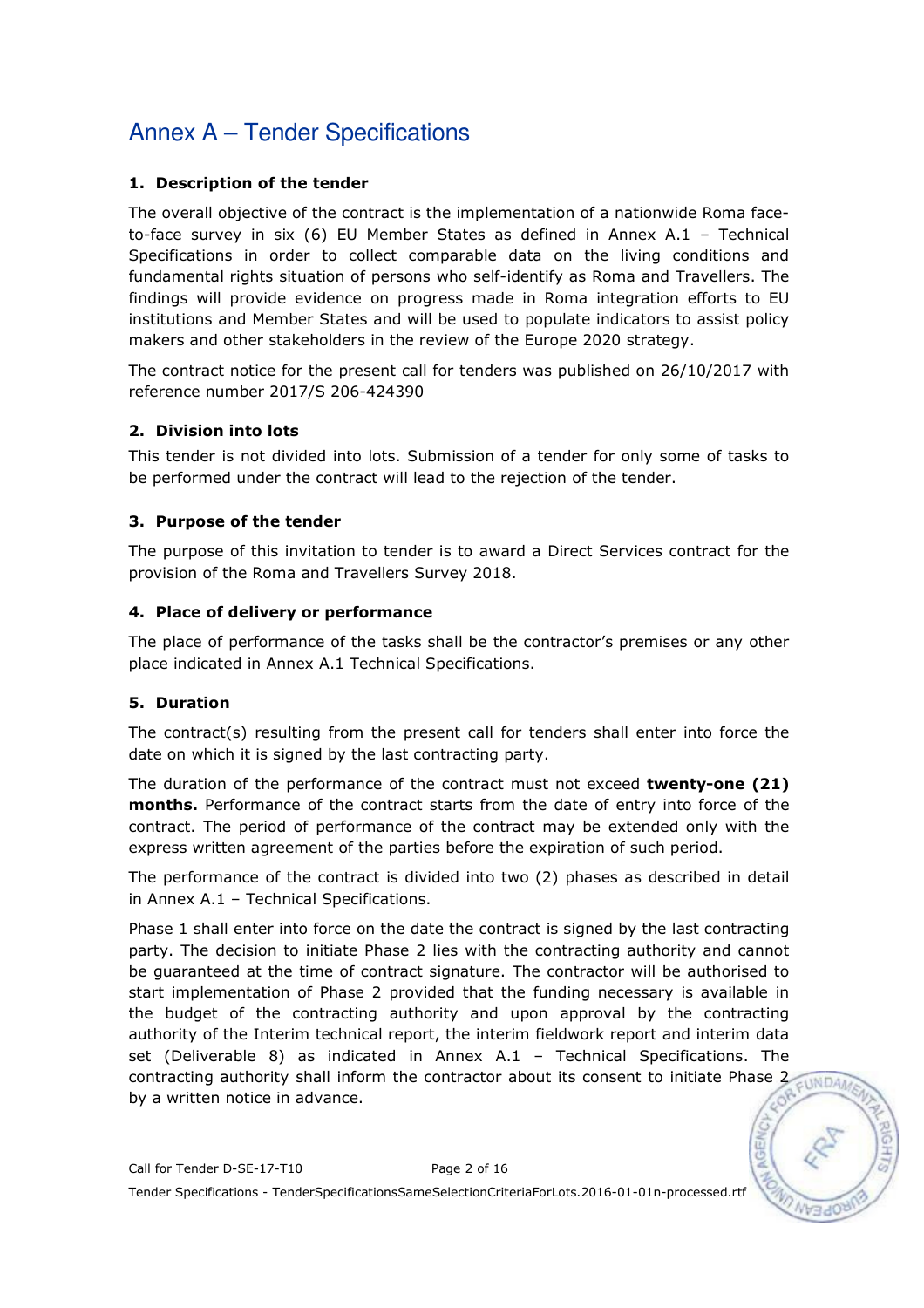### 1. Description of the tender

The overall objective of the contract is the implementation of a nationwide Roma faceto-face survey in six (6) EU Member States as defined in Annex A.1 – Technical Specifications in order to collect comparable data on the living conditions and fundamental rights situation of persons who self-identify as Roma and Travellers. The findings will provide evidence on progress made in Roma integration efforts to EU institutions and Member States and will be used to populate indicators to assist policy makers and other stakeholders in the review of the Europe 2020 strategy.

The contract notice for the present call for tenders was published on 26/10/2017 with reference number 2017/S 206-424390

### 2. Division into lots

This tender is not divided into lots. Submission of a tender for only some of tasks to be performed under the contract will lead to the rejection of the tender.

### 3. Purpose of the tender

The purpose of this invitation to tender is to award a Direct Services contract for the provision of the Roma and Travellers Survey 2018.

### 4. Place of delivery or performance

The place of performance of the tasks shall be the contractor's premises or any other place indicated in Annex A.1 Technical Specifications.

### 5. Duration

The contract(s) resulting from the present call for tenders shall enter into force the date on which it is signed by the last contracting party.

The duration of the performance of the contract must not exceed **twenty-one (21)** months. Performance of the contract starts from the date of entry into force of the contract. The period of performance of the contract may be extended only with the express written agreement of the parties before the expiration of such period.

The performance of the contract is divided into two (2) phases as described in detail in Annex A.1 – Technical Specifications.

Phase 1 shall enter into force on the date the contract is signed by the last contracting party. The decision to initiate Phase 2 lies with the contracting authority and cannot be guaranteed at the time of contract signature. The contractor will be authorised to start implementation of Phase 2 provided that the funding necessary is available in the budget of the contracting authority and upon approval by the contracting authority of the Interim technical report, the interim fieldwork report and interim data set (Deliverable 8) as indicated in Annex A.1 – Technical Specifications. The contracting authority shall inform the contractor about its consent to initiate Phase 2 by a written notice in advance.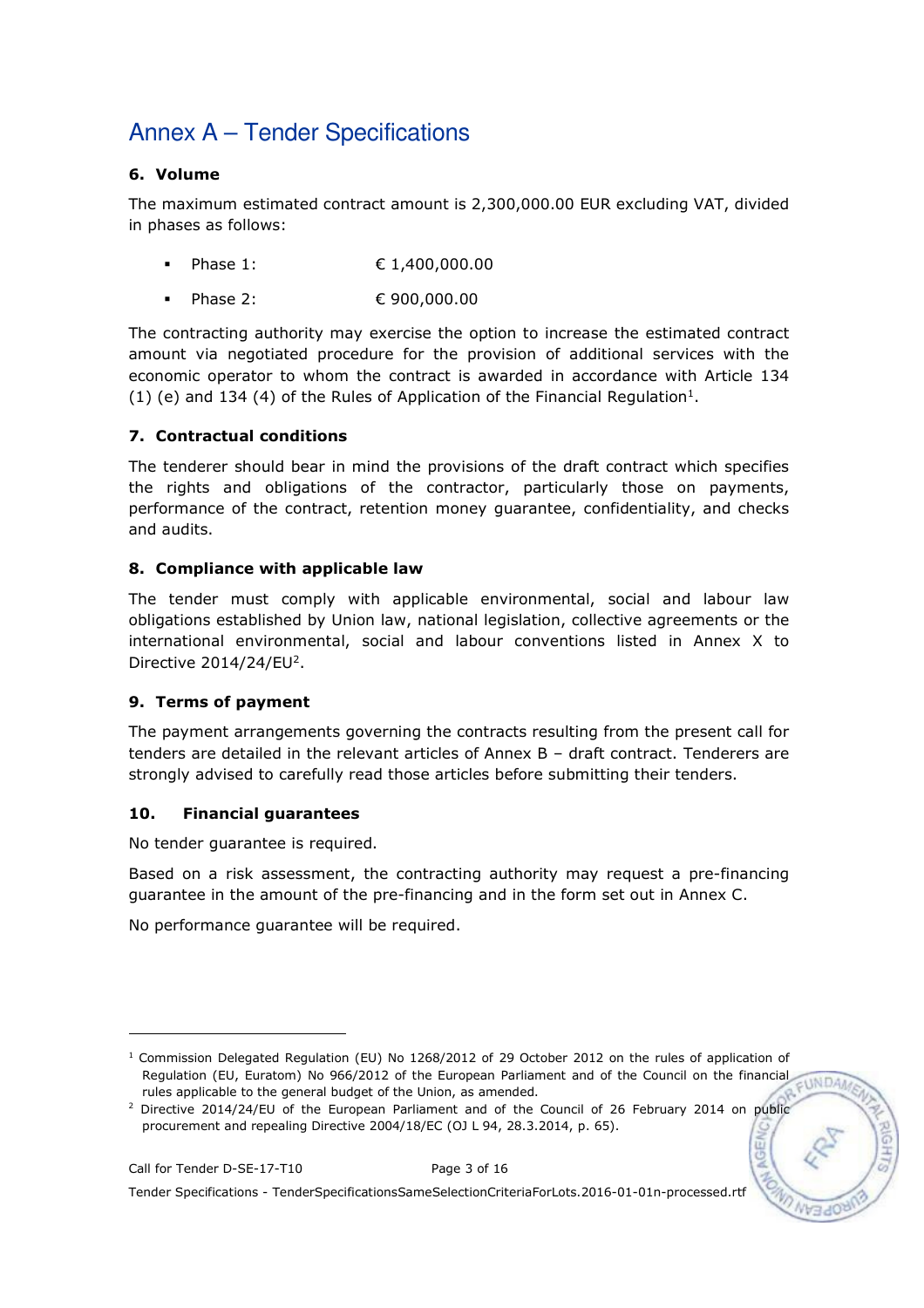### 6. Volume

The maximum estimated contract amount is 2,300,000.00 EUR excluding VAT, divided in phases as follows:

- Phase 1: € 1,400,000.00
- Phase 2: € 900,000.00

The contracting authority may exercise the option to increase the estimated contract amount via negotiated procedure for the provision of additional services with the economic operator to whom the contract is awarded in accordance with Article 134 (1) (e) and 134 (4) of the Rules of Application of the Financial Regulation<sup>1</sup>.

### 7. Contractual conditions

The tenderer should bear in mind the provisions of the draft contract which specifies the rights and obligations of the contractor, particularly those on payments, performance of the contract, retention money guarantee, confidentiality, and checks and audits.

### 8. Compliance with applicable law

The tender must comply with applicable environmental, social and labour law obligations established by Union law, national legislation, collective agreements or the international environmental, social and labour conventions listed in Annex X to Directive  $2014/24$ /EU<sup>2</sup>.

### 9. Terms of payment

The payment arrangements governing the contracts resulting from the present call for tenders are detailed in the relevant articles of Annex B – draft contract. Tenderers are strongly advised to carefully read those articles before submitting their tenders.

### 10. Financial guarantees

No tender guarantee is required.

Based on a risk assessment, the contracting authority may request a pre-financing guarantee in the amount of the pre-financing and in the form set out in Annex C.

No performance guarantee will be required.

-

<sup>1</sup> Commission Delegated Regulation (EU) No 1268/2012 of 29 October 2012 on the rules of application of Regulation (EU, Euratom) No 966/2012 of the European Parliament and of the Council on the financial EUNDAA rules applicable to the general budget of the Union, as amended.

<sup>&</sup>lt;sup>2</sup> Directive 2014/24/EU of the European Parliament and of the Council of 26 February 2014 on public procurement and repealing Directive 2004/18/EC (OJ L 94, 28.3.2014, p. 65).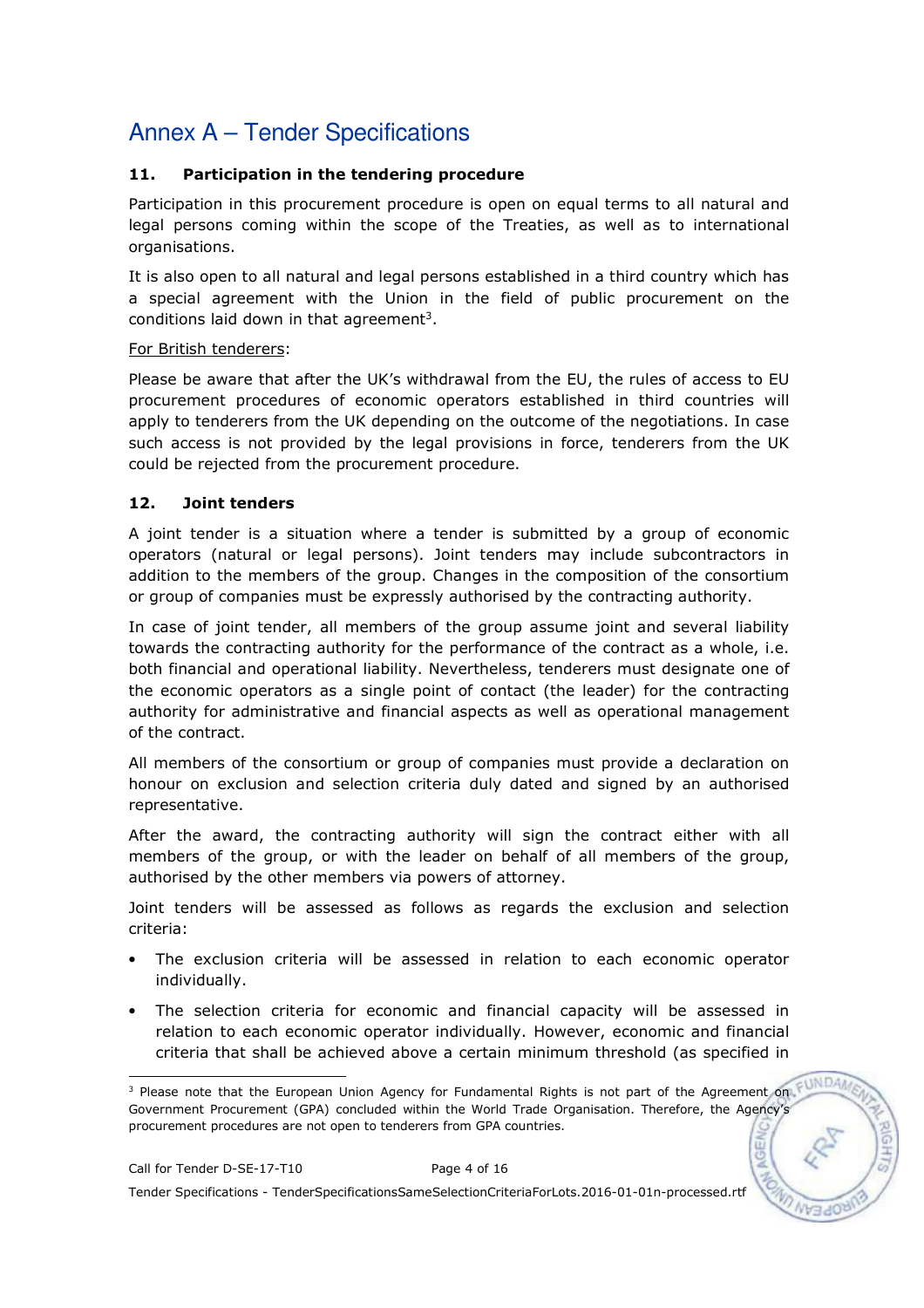### 11. Participation in the tendering procedure

Participation in this procurement procedure is open on equal terms to all natural and legal persons coming within the scope of the Treaties, as well as to international organisations.

It is also open to all natural and legal persons established in a third country which has a special agreement with the Union in the field of public procurement on the conditions laid down in that agreement<sup>3</sup>.

#### For British tenderers:

Please be aware that after the UK's withdrawal from the EU, the rules of access to EU procurement procedures of economic operators established in third countries will apply to tenderers from the UK depending on the outcome of the negotiations. In case such access is not provided by the legal provisions in force, tenderers from the UK could be rejected from the procurement procedure.

### 12. Joint tenders

A joint tender is a situation where a tender is submitted by a group of economic operators (natural or legal persons). Joint tenders may include subcontractors in addition to the members of the group. Changes in the composition of the consortium or group of companies must be expressly authorised by the contracting authority.

In case of joint tender, all members of the group assume joint and several liability towards the contracting authority for the performance of the contract as a whole, i.e. both financial and operational liability. Nevertheless, tenderers must designate one of the economic operators as a single point of contact (the leader) for the contracting authority for administrative and financial aspects as well as operational management of the contract.

All members of the consortium or group of companies must provide a declaration on honour on exclusion and selection criteria duly dated and signed by an authorised representative.

After the award, the contracting authority will sign the contract either with all members of the group, or with the leader on behalf of all members of the group, authorised by the other members via powers of attorney.

Joint tenders will be assessed as follows as regards the exclusion and selection criteria:

- The exclusion criteria will be assessed in relation to each economic operator individually.
- The selection criteria for economic and financial capacity will be assessed in relation to each economic operator individually. However, economic and financial criteria that shall be achieved above a certain minimum threshold (as specified in

Tender Specifications - TenderSpecificationsSameSelectionCriteriaForLots.2016-01-01n-processed.rtf

 3 Please note that the European Union Agency for Fundamental Rights is not part of the Agreement on Government Procurement (GPA) concluded within the World Trade Organisation. Therefore, the Agency's procurement procedures are not open to tenderers from GPA countries.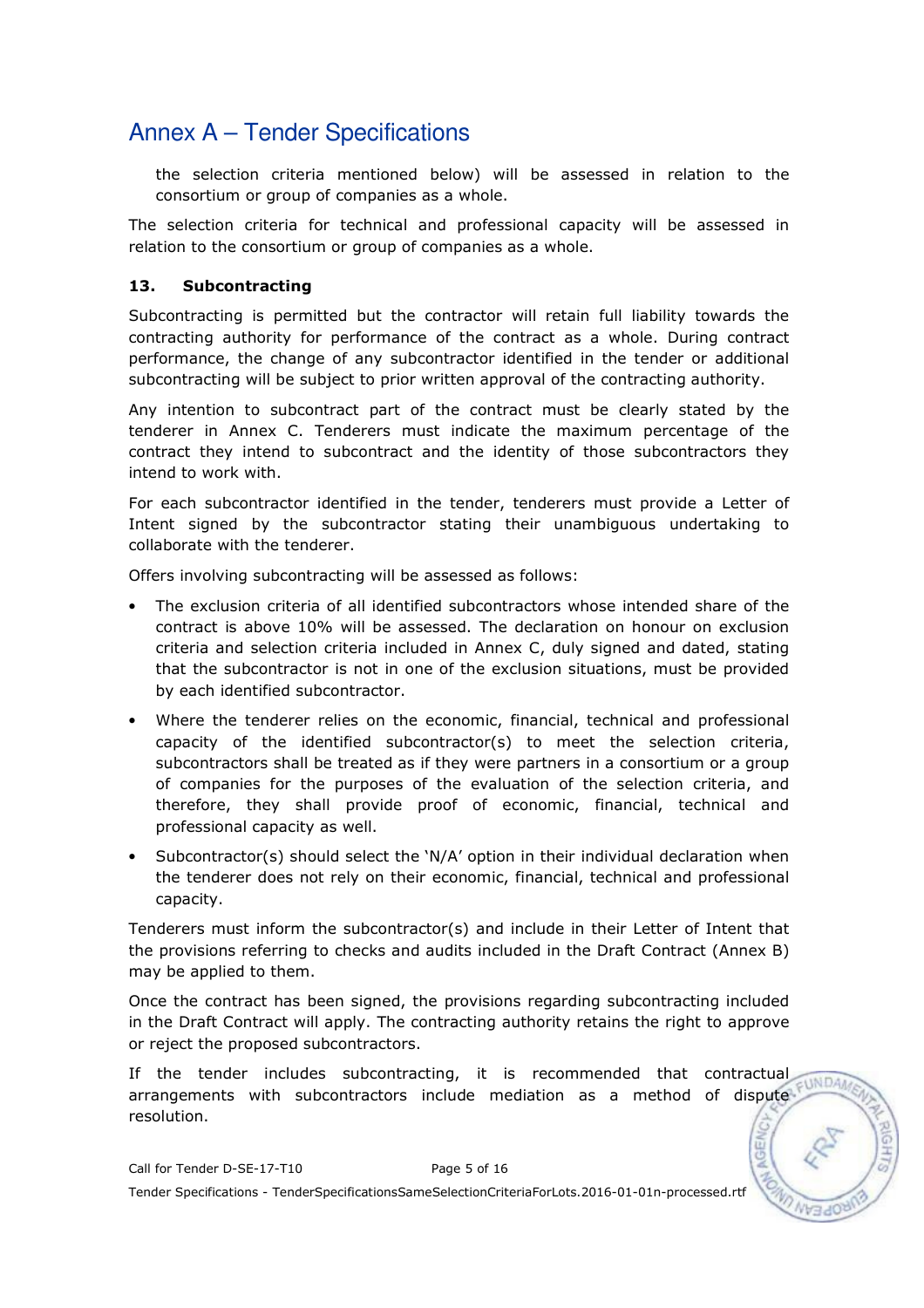the selection criteria mentioned below) will be assessed in relation to the consortium or group of companies as a whole.

The selection criteria for technical and professional capacity will be assessed in relation to the consortium or group of companies as a whole.

#### 13. Subcontracting

Subcontracting is permitted but the contractor will retain full liability towards the contracting authority for performance of the contract as a whole. During contract performance, the change of any subcontractor identified in the tender or additional subcontracting will be subject to prior written approval of the contracting authority.

Any intention to subcontract part of the contract must be clearly stated by the tenderer in Annex C. Tenderers must indicate the maximum percentage of the contract they intend to subcontract and the identity of those subcontractors they intend to work with.

For each subcontractor identified in the tender, tenderers must provide a Letter of Intent signed by the subcontractor stating their unambiguous undertaking to collaborate with the tenderer.

Offers involving subcontracting will be assessed as follows:

- The exclusion criteria of all identified subcontractors whose intended share of the contract is above 10% will be assessed. The declaration on honour on exclusion criteria and selection criteria included in Annex C, duly signed and dated, stating that the subcontractor is not in one of the exclusion situations, must be provided by each identified subcontractor.
- Where the tenderer relies on the economic, financial, technical and professional capacity of the identified subcontractor(s) to meet the selection criteria, subcontractors shall be treated as if they were partners in a consortium or a group of companies for the purposes of the evaluation of the selection criteria, and therefore, they shall provide proof of economic, financial, technical and professional capacity as well.
- Subcontractor(s) should select the 'N/A' option in their individual declaration when the tenderer does not rely on their economic, financial, technical and professional capacity.

Tenderers must inform the subcontractor(s) and include in their Letter of Intent that the provisions referring to checks and audits included in the Draft Contract (Annex B) may be applied to them.

Once the contract has been signed, the provisions regarding subcontracting included in the Draft Contract will apply. The contracting authority retains the right to approve or reject the proposed subcontractors.

If the tender includes subcontracting, it is recommended that contractual  $E$ WDA arrangements with subcontractors include mediation as a method of dispute resolution.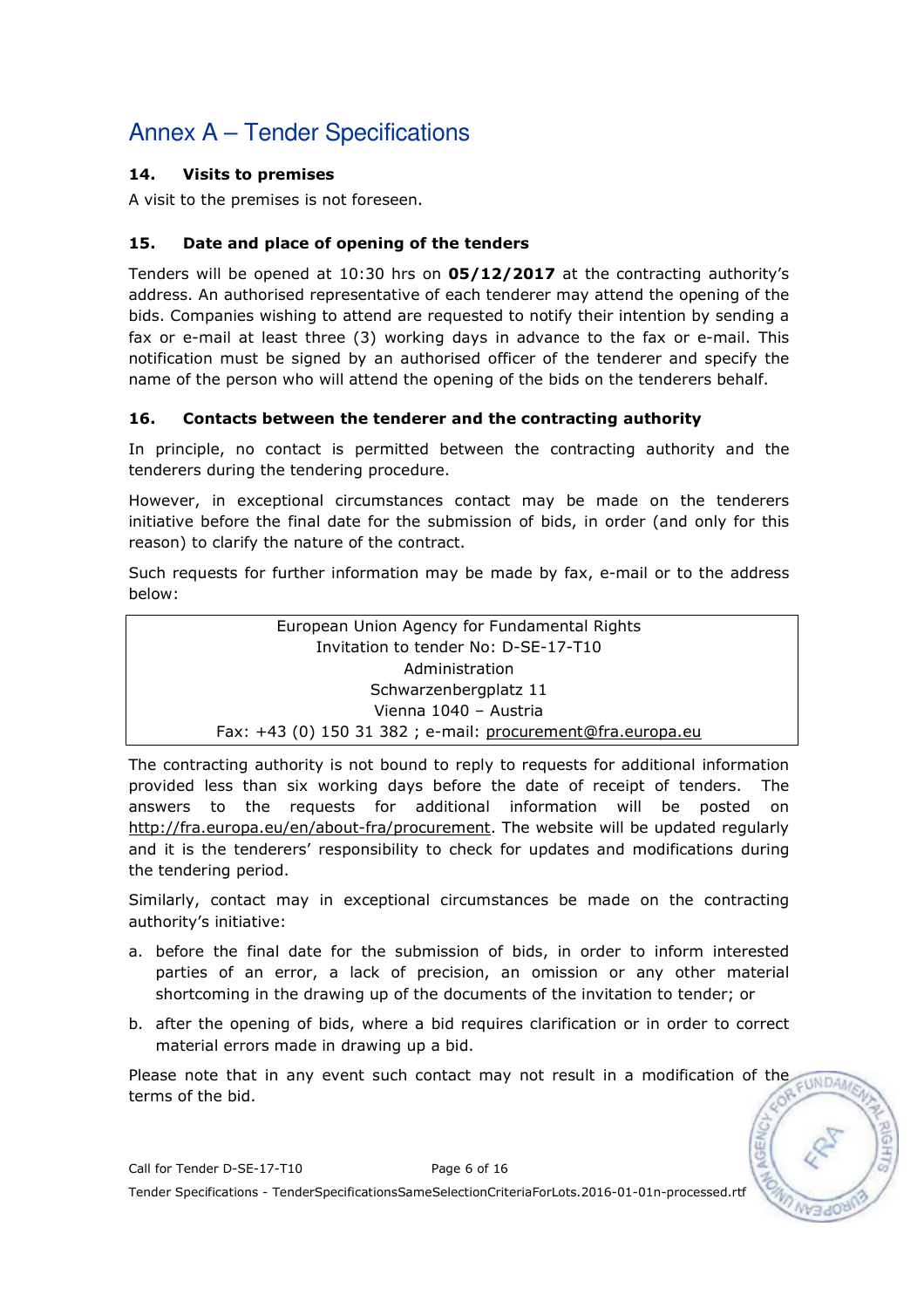### 14. Visits to premises

A visit to the premises is not foreseen.

### 15. Date and place of opening of the tenders

Tenders will be opened at 10:30 hrs on 05/12/2017 at the contracting authority's address. An authorised representative of each tenderer may attend the opening of the bids. Companies wishing to attend are requested to notify their intention by sending a fax or e-mail at least three (3) working days in advance to the fax or e-mail. This notification must be signed by an authorised officer of the tenderer and specify the name of the person who will attend the opening of the bids on the tenderers behalf.

### 16. Contacts between the tenderer and the contracting authority

In principle, no contact is permitted between the contracting authority and the tenderers during the tendering procedure.

However, in exceptional circumstances contact may be made on the tenderers initiative before the final date for the submission of bids, in order (and only for this reason) to clarify the nature of the contract.

Such requests for further information may be made by fax, e-mail or to the address below:

> European Union Agency for Fundamental Rights Invitation to tender No: D-SE-17-T10 Administration Schwarzenbergplatz 11 Vienna 1040 – Austria Fax: +43 (0) 150 31 382 ; e-mail: procurement@fra.europa.eu

The contracting authority is not bound to reply to requests for additional information provided less than six working days before the date of receipt of tenders. The answers to the requests for additional information will be posted on http://fra.europa.eu/en/about-fra/procurement. The website will be updated regularly and it is the tenderers' responsibility to check for updates and modifications during the tendering period.

Similarly, contact may in exceptional circumstances be made on the contracting authority's initiative:

- a. before the final date for the submission of bids, in order to inform interested parties of an error, a lack of precision, an omission or any other material shortcoming in the drawing up of the documents of the invitation to tender; or
- b. after the opening of bids, where a bid requires clarification or in order to correct material errors made in drawing up a bid.

Please note that in any event such contact may not result in a modification of the  $-1$ INDA terms of the bid.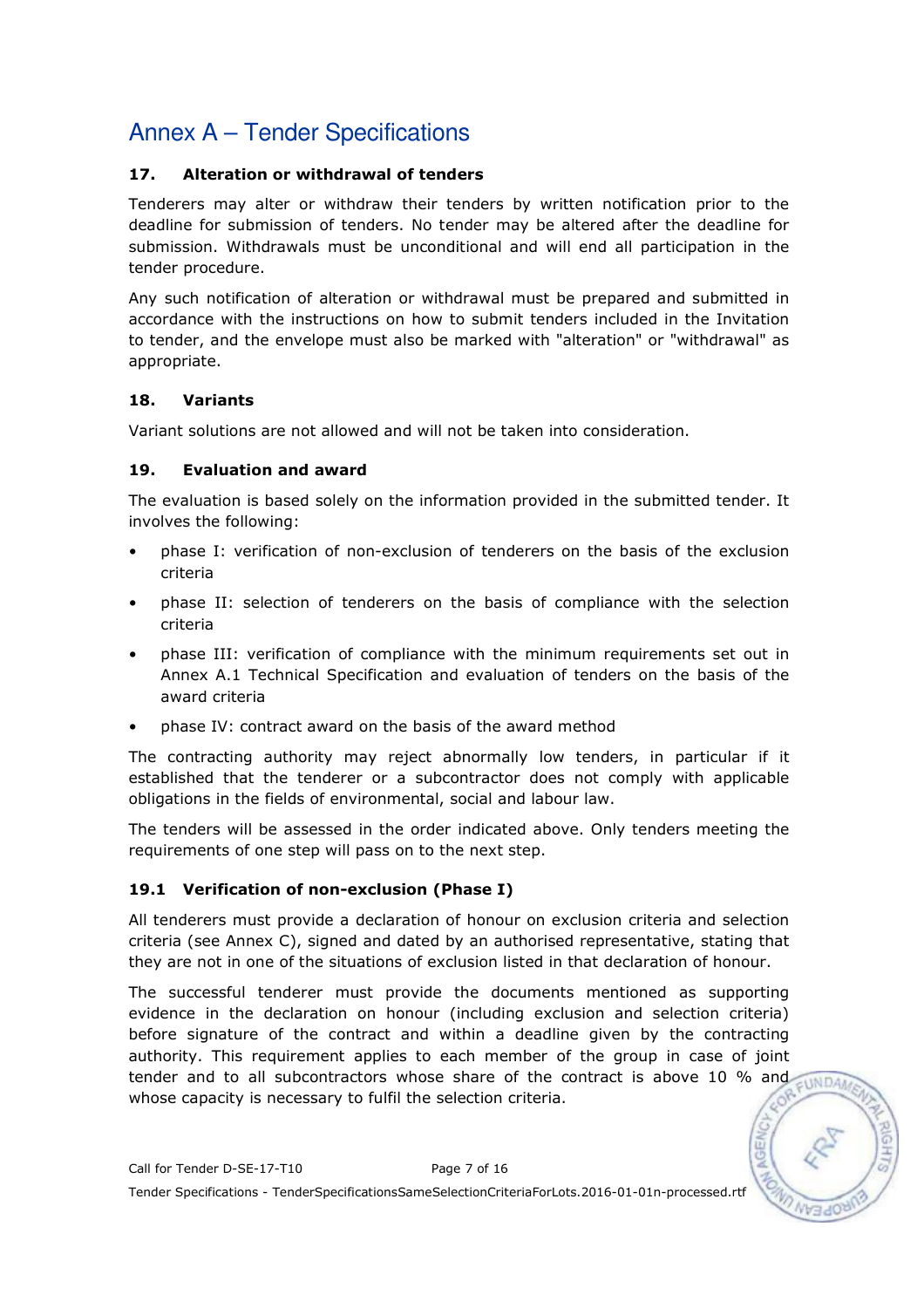### 17. Alteration or withdrawal of tenders

Tenderers may alter or withdraw their tenders by written notification prior to the deadline for submission of tenders. No tender may be altered after the deadline for submission. Withdrawals must be unconditional and will end all participation in the tender procedure.

Any such notification of alteration or withdrawal must be prepared and submitted in accordance with the instructions on how to submit tenders included in the Invitation to tender, and the envelope must also be marked with "alteration" or "withdrawal" as appropriate.

### 18. Variants

Variant solutions are not allowed and will not be taken into consideration.

### 19. Evaluation and award

The evaluation is based solely on the information provided in the submitted tender. It involves the following:

- phase I: verification of non-exclusion of tenderers on the basis of the exclusion criteria
- phase II: selection of tenderers on the basis of compliance with the selection criteria
- phase III: verification of compliance with the minimum requirements set out in Annex A.1 Technical Specification and evaluation of tenders on the basis of the award criteria
- phase IV: contract award on the basis of the award method

The contracting authority may reject abnormally low tenders, in particular if it established that the tenderer or a subcontractor does not comply with applicable obligations in the fields of environmental, social and labour law.

The tenders will be assessed in the order indicated above. Only tenders meeting the requirements of one step will pass on to the next step.

### 19.1 Verification of non-exclusion (Phase I)

All tenderers must provide a declaration of honour on exclusion criteria and selection criteria (see Annex C), signed and dated by an authorised representative, stating that they are not in one of the situations of exclusion listed in that declaration of honour.

The successful tenderer must provide the documents mentioned as supporting evidence in the declaration on honour (including exclusion and selection criteria) before signature of the contract and within a deadline given by the contracting authority. This requirement applies to each member of the group in case of joint tender and to all subcontractors whose share of the contract is above 10 % and whose capacity is necessary to fulfil the selection criteria.

 $-11NDA$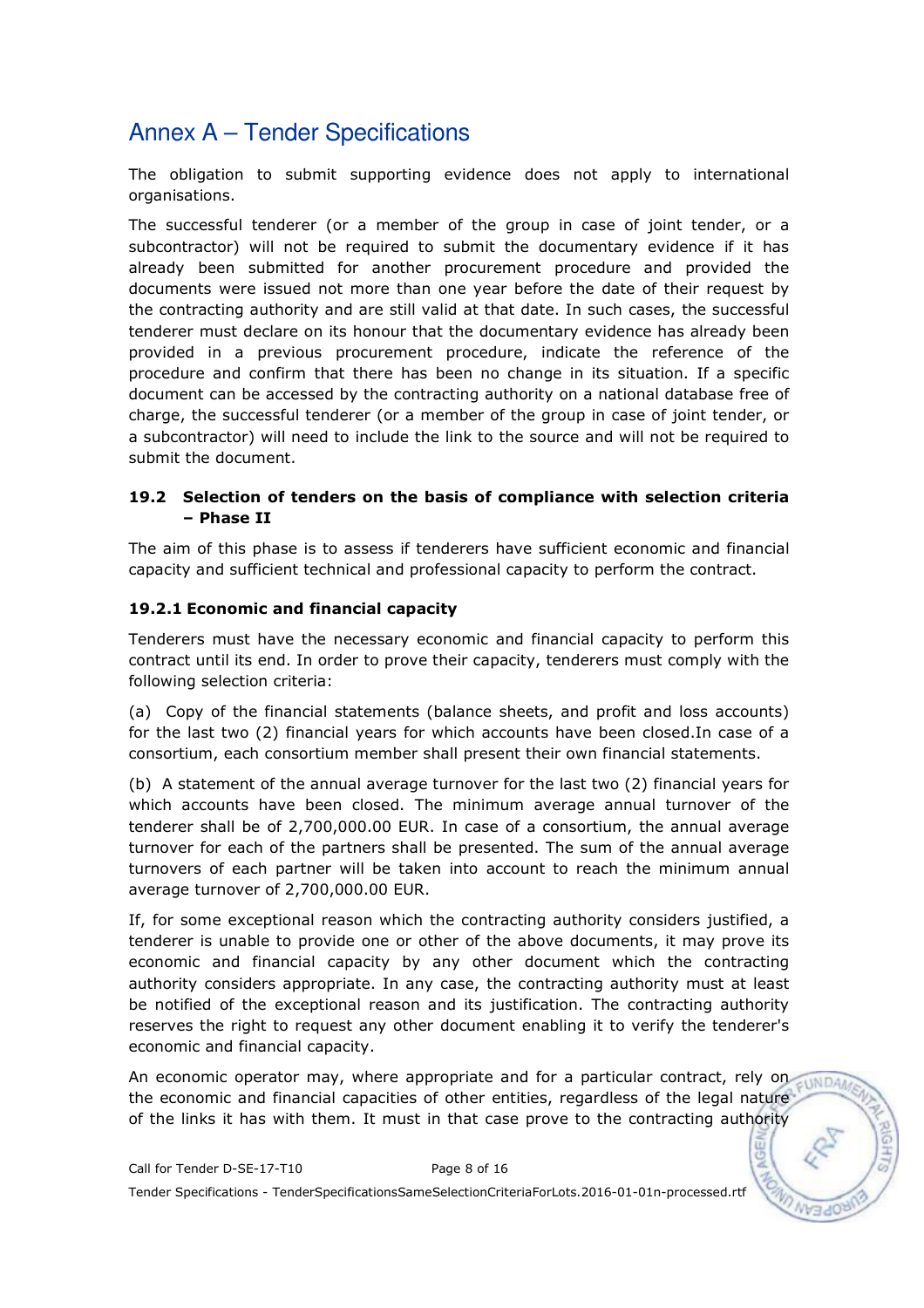The obligation to submit supporting evidence does not apply to international organisations.

The successful tenderer (or a member of the group in case of joint tender, or a subcontractor) will not be required to submit the documentary evidence if it has already been submitted for another procurement procedure and provided the documents were issued not more than one year before the date of their request by the contracting authority and are still valid at that date. In such cases, the successful tenderer must declare on its honour that the documentary evidence has already been provided in a previous procurement procedure, indicate the reference of the procedure and confirm that there has been no change in its situation. If a specific document can be accessed by the contracting authority on a national database free of charge, the successful tenderer (or a member of the group in case of joint tender, or a subcontractor) will need to include the link to the source and will not be required to submit the document.

#### 19.2 Selection of tenders on the basis of compliance with selection criteria – Phase II

The aim of this phase is to assess if tenderers have sufficient economic and financial capacity and sufficient technical and professional capacity to perform the contract.

### 19.2.1 Economic and financial capacity

Tenderers must have the necessary economic and financial capacity to perform this contract until its end. In order to prove their capacity, tenderers must comply with the following selection criteria:

(a) Copy of the financial statements (balance sheets, and profit and loss accounts) for the last two (2) financial years for which accounts have been closed.In case of a consortium, each consortium member shall present their own financial statements.

(b) A statement of the annual average turnover for the last two (2) financial years for which accounts have been closed. The minimum average annual turnover of the tenderer shall be of 2,700,000.00 EUR. In case of a consortium, the annual average turnover for each of the partners shall be presented. The sum of the annual average turnovers of each partner will be taken into account to reach the minimum annual average turnover of 2,700,000.00 EUR.

If, for some exceptional reason which the contracting authority considers justified, a tenderer is unable to provide one or other of the above documents, it may prove its economic and financial capacity by any other document which the contracting authority considers appropriate. In any case, the contracting authority must at least be notified of the exceptional reason and its justification. The contracting authority reserves the right to request any other document enabling it to verify the tenderer's economic and financial capacity.

An economic operator may, where appropriate and for a particular contract, rely on the economic and financial capacities of other entities, regardless of the legal nature of the links it has with them. It must in that case prove to the contracting authority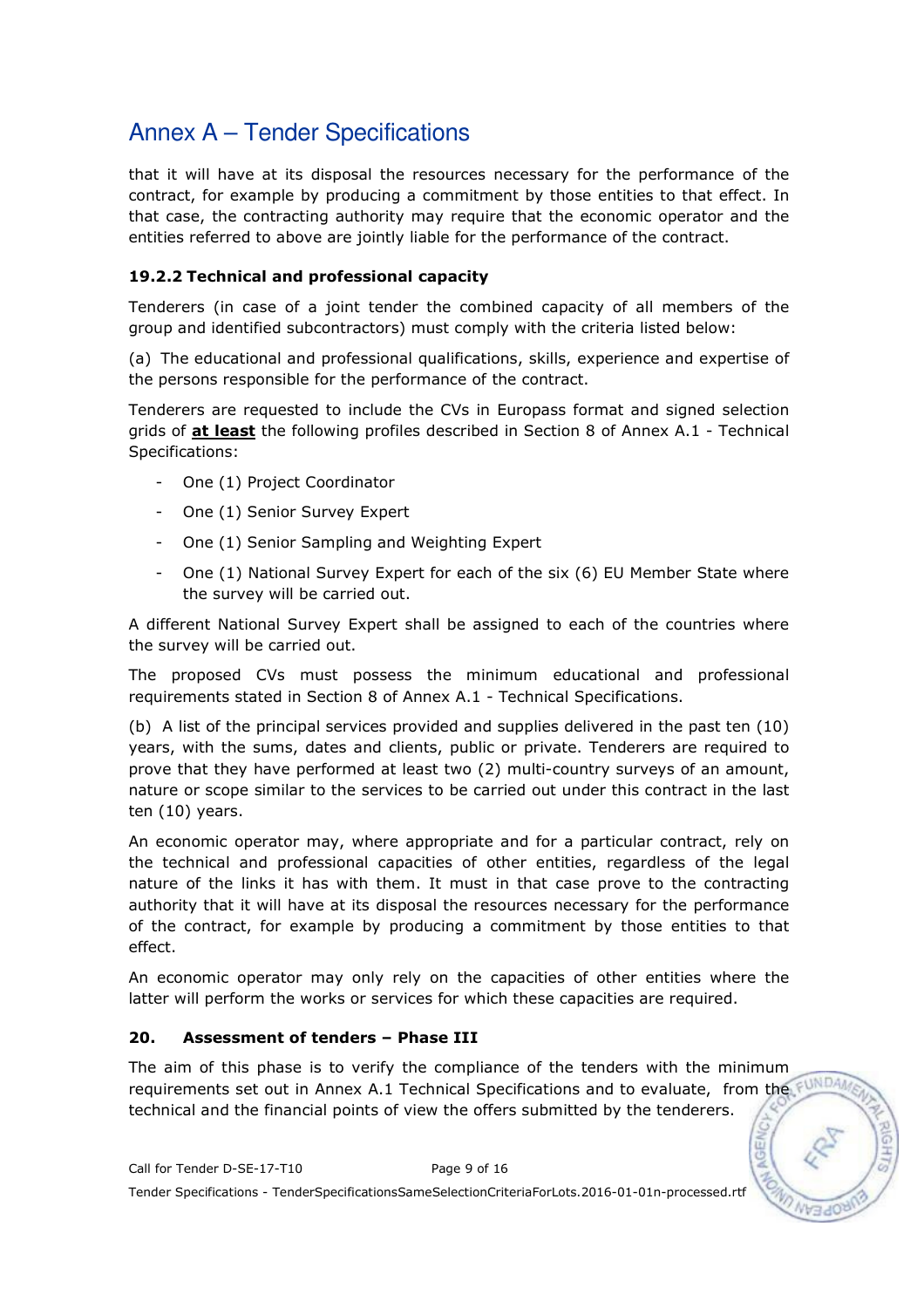that it will have at its disposal the resources necessary for the performance of the contract, for example by producing a commitment by those entities to that effect. In that case, the contracting authority may require that the economic operator and the entities referred to above are jointly liable for the performance of the contract.

### 19.2.2 Technical and professional capacity

Tenderers (in case of a joint tender the combined capacity of all members of the group and identified subcontractors) must comply with the criteria listed below:

(a) The educational and professional qualifications, skills, experience and expertise of the persons responsible for the performance of the contract.

Tenderers are requested to include the CVs in Europass format and signed selection grids of **at least** the following profiles described in Section 8 of Annex A.1 - Technical Specifications:

- One (1) Project Coordinator
- One (1) Senior Survey Expert
- One (1) Senior Sampling and Weighting Expert
- One (1) National Survey Expert for each of the six (6) EU Member State where the survey will be carried out.

A different National Survey Expert shall be assigned to each of the countries where the survey will be carried out.

The proposed CVs must possess the minimum educational and professional requirements stated in Section 8 of Annex A.1 - Technical Specifications.

(b) A list of the principal services provided and supplies delivered in the past ten (10) years, with the sums, dates and clients, public or private. Tenderers are required to prove that they have performed at least two (2) multi-country surveys of an amount, nature or scope similar to the services to be carried out under this contract in the last ten (10) years.

An economic operator may, where appropriate and for a particular contract, rely on the technical and professional capacities of other entities, regardless of the legal nature of the links it has with them. It must in that case prove to the contracting authority that it will have at its disposal the resources necessary for the performance of the contract, for example by producing a commitment by those entities to that effect.

An economic operator may only rely on the capacities of other entities where the latter will perform the works or services for which these capacities are required.

### 20. Assessment of tenders – Phase III

The aim of this phase is to verify the compliance of the tenders with the minimum requirements set out in Annex A.1 Technical Specifications and to evaluate, from the FUND technical and the financial points of view the offers submitted by the tenderers.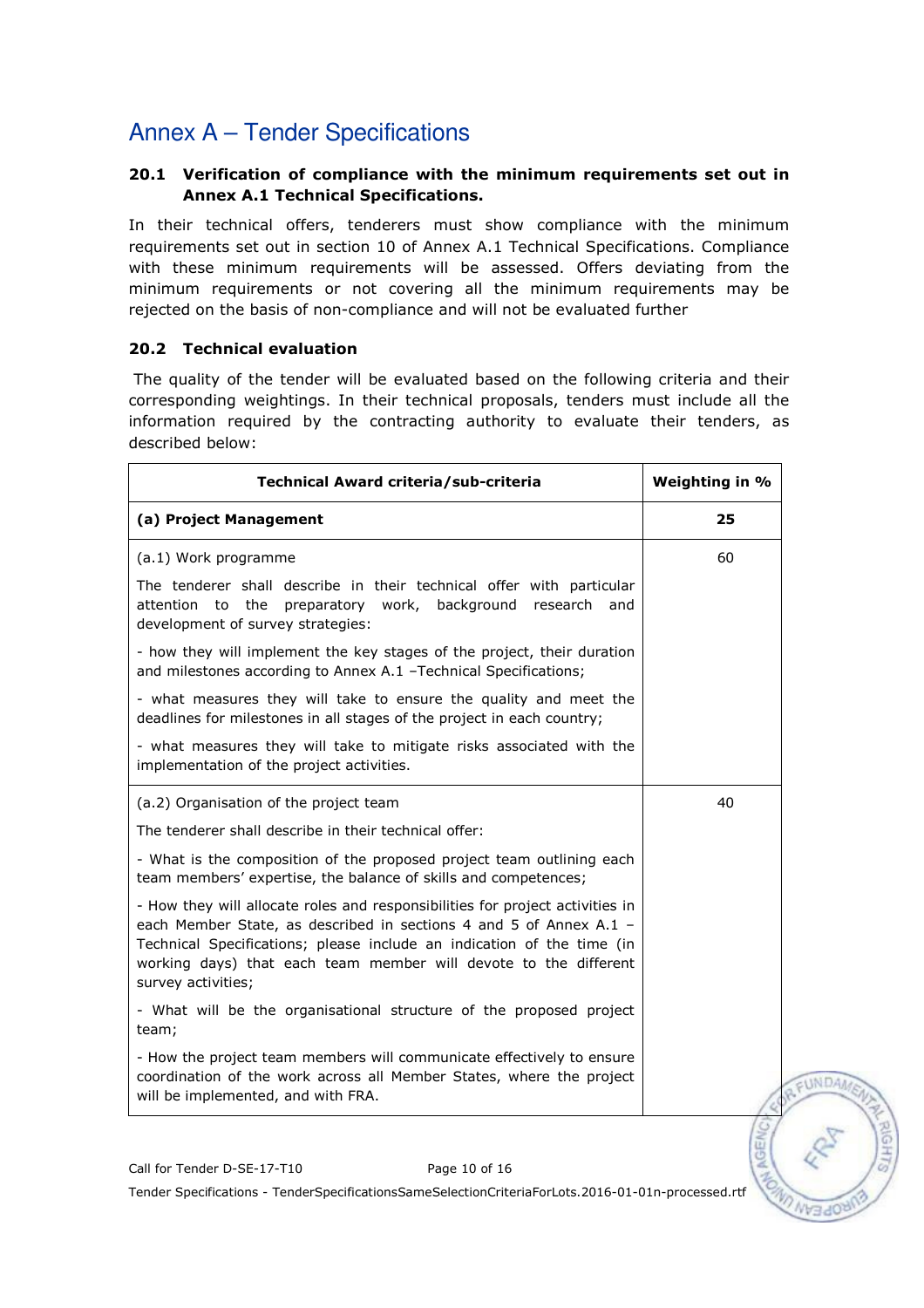### 20.1 Verification of compliance with the minimum requirements set out in Annex A.1 Technical Specifications.

In their technical offers, tenderers must show compliance with the minimum requirements set out in section 10 of Annex A.1 Technical Specifications. Compliance with these minimum requirements will be assessed. Offers deviating from the minimum requirements or not covering all the minimum requirements may be rejected on the basis of non-compliance and will not be evaluated further

#### 20.2 Technical evaluation

 The quality of the tender will be evaluated based on the following criteria and their corresponding weightings. In their technical proposals, tenders must include all the information required by the contracting authority to evaluate their tenders, as described below:

| (a) Project Management<br>(a.1) Work programme<br>The tenderer shall describe in their technical offer with particular<br>attention to the preparatory work,<br>background research<br>and<br>development of survey strategies:<br>- how they will implement the key stages of the project, their duration<br>and milestones according to Annex A.1 -Technical Specifications;<br>- what measures they will take to ensure the quality and meet the<br>deadlines for milestones in all stages of the project in each country;<br>- what measures they will take to mitigate risks associated with the<br>implementation of the project activities.<br>(a.2) Organisation of the project team<br>The tenderer shall describe in their technical offer:<br>- What is the composition of the proposed project team outlining each<br>team members' expertise, the balance of skills and competences;<br>- How they will allocate roles and responsibilities for project activities in<br>each Member State, as described in sections 4 and 5 of Annex A.1 -<br>Technical Specifications; please include an indication of the time (in<br>working days) that each team member will devote to the different<br>survey activities;<br>- What will be the organisational structure of the proposed project<br>team; | Weighting in %<br>Technical Award criteria/sub-criteria |  |
|--------------------------------------------------------------------------------------------------------------------------------------------------------------------------------------------------------------------------------------------------------------------------------------------------------------------------------------------------------------------------------------------------------------------------------------------------------------------------------------------------------------------------------------------------------------------------------------------------------------------------------------------------------------------------------------------------------------------------------------------------------------------------------------------------------------------------------------------------------------------------------------------------------------------------------------------------------------------------------------------------------------------------------------------------------------------------------------------------------------------------------------------------------------------------------------------------------------------------------------------------------------------------------------------------------------|---------------------------------------------------------|--|
|                                                                                                                                                                                                                                                                                                                                                                                                                                                                                                                                                                                                                                                                                                                                                                                                                                                                                                                                                                                                                                                                                                                                                                                                                                                                                                              | 25                                                      |  |
|                                                                                                                                                                                                                                                                                                                                                                                                                                                                                                                                                                                                                                                                                                                                                                                                                                                                                                                                                                                                                                                                                                                                                                                                                                                                                                              | 60                                                      |  |
|                                                                                                                                                                                                                                                                                                                                                                                                                                                                                                                                                                                                                                                                                                                                                                                                                                                                                                                                                                                                                                                                                                                                                                                                                                                                                                              |                                                         |  |
|                                                                                                                                                                                                                                                                                                                                                                                                                                                                                                                                                                                                                                                                                                                                                                                                                                                                                                                                                                                                                                                                                                                                                                                                                                                                                                              |                                                         |  |
|                                                                                                                                                                                                                                                                                                                                                                                                                                                                                                                                                                                                                                                                                                                                                                                                                                                                                                                                                                                                                                                                                                                                                                                                                                                                                                              |                                                         |  |
|                                                                                                                                                                                                                                                                                                                                                                                                                                                                                                                                                                                                                                                                                                                                                                                                                                                                                                                                                                                                                                                                                                                                                                                                                                                                                                              |                                                         |  |
|                                                                                                                                                                                                                                                                                                                                                                                                                                                                                                                                                                                                                                                                                                                                                                                                                                                                                                                                                                                                                                                                                                                                                                                                                                                                                                              | 40                                                      |  |
|                                                                                                                                                                                                                                                                                                                                                                                                                                                                                                                                                                                                                                                                                                                                                                                                                                                                                                                                                                                                                                                                                                                                                                                                                                                                                                              |                                                         |  |
|                                                                                                                                                                                                                                                                                                                                                                                                                                                                                                                                                                                                                                                                                                                                                                                                                                                                                                                                                                                                                                                                                                                                                                                                                                                                                                              |                                                         |  |
|                                                                                                                                                                                                                                                                                                                                                                                                                                                                                                                                                                                                                                                                                                                                                                                                                                                                                                                                                                                                                                                                                                                                                                                                                                                                                                              |                                                         |  |
|                                                                                                                                                                                                                                                                                                                                                                                                                                                                                                                                                                                                                                                                                                                                                                                                                                                                                                                                                                                                                                                                                                                                                                                                                                                                                                              |                                                         |  |
| - How the project team members will communicate effectively to ensure<br>coordination of the work across all Member States, where the project<br>will be implemented, and with FRA.                                                                                                                                                                                                                                                                                                                                                                                                                                                                                                                                                                                                                                                                                                                                                                                                                                                                                                                                                                                                                                                                                                                          |                                                         |  |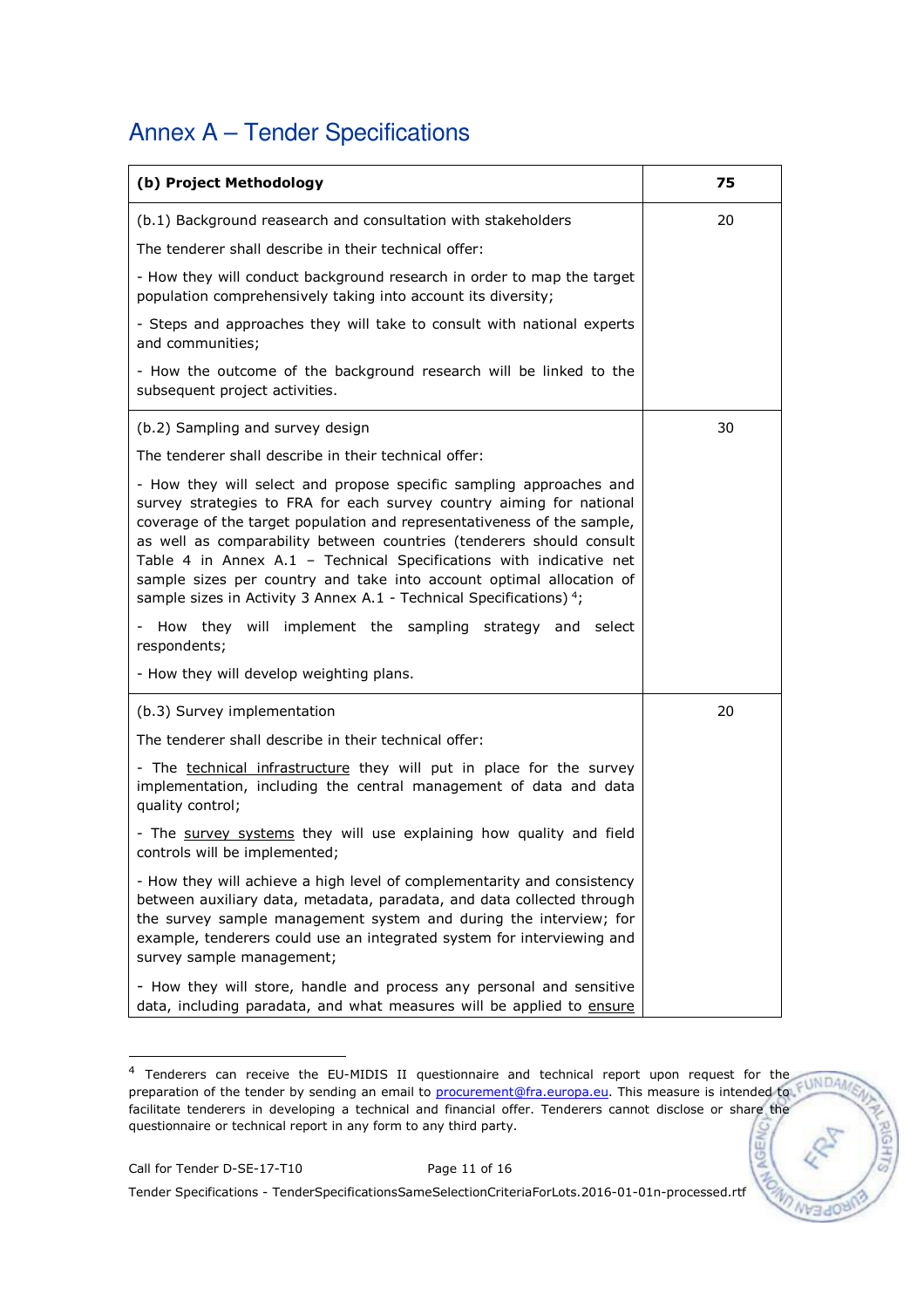| (b) Project Methodology                                                                                                                                                                                                                                                                                                                                                                                                                                                                                                 | 75 |
|-------------------------------------------------------------------------------------------------------------------------------------------------------------------------------------------------------------------------------------------------------------------------------------------------------------------------------------------------------------------------------------------------------------------------------------------------------------------------------------------------------------------------|----|
| (b.1) Background reasearch and consultation with stakeholders                                                                                                                                                                                                                                                                                                                                                                                                                                                           | 20 |
| The tenderer shall describe in their technical offer:                                                                                                                                                                                                                                                                                                                                                                                                                                                                   |    |
| - How they will conduct background research in order to map the target<br>population comprehensively taking into account its diversity;                                                                                                                                                                                                                                                                                                                                                                                 |    |
| - Steps and approaches they will take to consult with national experts<br>and communities;                                                                                                                                                                                                                                                                                                                                                                                                                              |    |
| - How the outcome of the background research will be linked to the<br>subsequent project activities.                                                                                                                                                                                                                                                                                                                                                                                                                    |    |
| (b.2) Sampling and survey design                                                                                                                                                                                                                                                                                                                                                                                                                                                                                        | 30 |
| The tenderer shall describe in their technical offer:                                                                                                                                                                                                                                                                                                                                                                                                                                                                   |    |
| - How they will select and propose specific sampling approaches and<br>survey strategies to FRA for each survey country aiming for national<br>coverage of the target population and representativeness of the sample,<br>as well as comparability between countries (tenderers should consult<br>Table 4 in Annex A.1 - Technical Specifications with indicative net<br>sample sizes per country and take into account optimal allocation of<br>sample sizes in Activity 3 Annex A.1 - Technical Specifications) $4$ ; |    |
| - How they will implement the sampling strategy and select                                                                                                                                                                                                                                                                                                                                                                                                                                                              |    |
| respondents;<br>- How they will develop weighting plans.                                                                                                                                                                                                                                                                                                                                                                                                                                                                |    |
|                                                                                                                                                                                                                                                                                                                                                                                                                                                                                                                         |    |
| (b.3) Survey implementation                                                                                                                                                                                                                                                                                                                                                                                                                                                                                             | 20 |
| The tenderer shall describe in their technical offer:                                                                                                                                                                                                                                                                                                                                                                                                                                                                   |    |
| - The technical infrastructure they will put in place for the survey<br>implementation, including the central management of data and data<br>quality control;                                                                                                                                                                                                                                                                                                                                                           |    |
| - The survey systems they will use explaining how quality and field<br>controls will be implemented;                                                                                                                                                                                                                                                                                                                                                                                                                    |    |
| - How they will achieve a high level of complementarity and consistency<br>between auxiliary data, metadata, paradata, and data collected through<br>the survey sample management system and during the interview; for<br>example, tenderers could use an integrated system for interviewing and<br>survey sample management;                                                                                                                                                                                           |    |
| - How they will store, handle and process any personal and sensitive<br>data, including paradata, and what measures will be applied to ensure                                                                                                                                                                                                                                                                                                                                                                           |    |

<sup>4</sup> Tenderers can receive the EU-MIDIS II questionnaire and technical report upon request for the preparation of the tender by sending an email to **procurement@fra.europa.eu**. This measure is intended to facilitate tenderers in developing a technical and financial offer. Tenderers cannot disclose or share the questionnaire or technical report in any form to any third party.

**NGEI** 

-

Tender Specifications - TenderSpecificationsSameSelectionCriteriaForLots.2016-01-01n-processed.rtf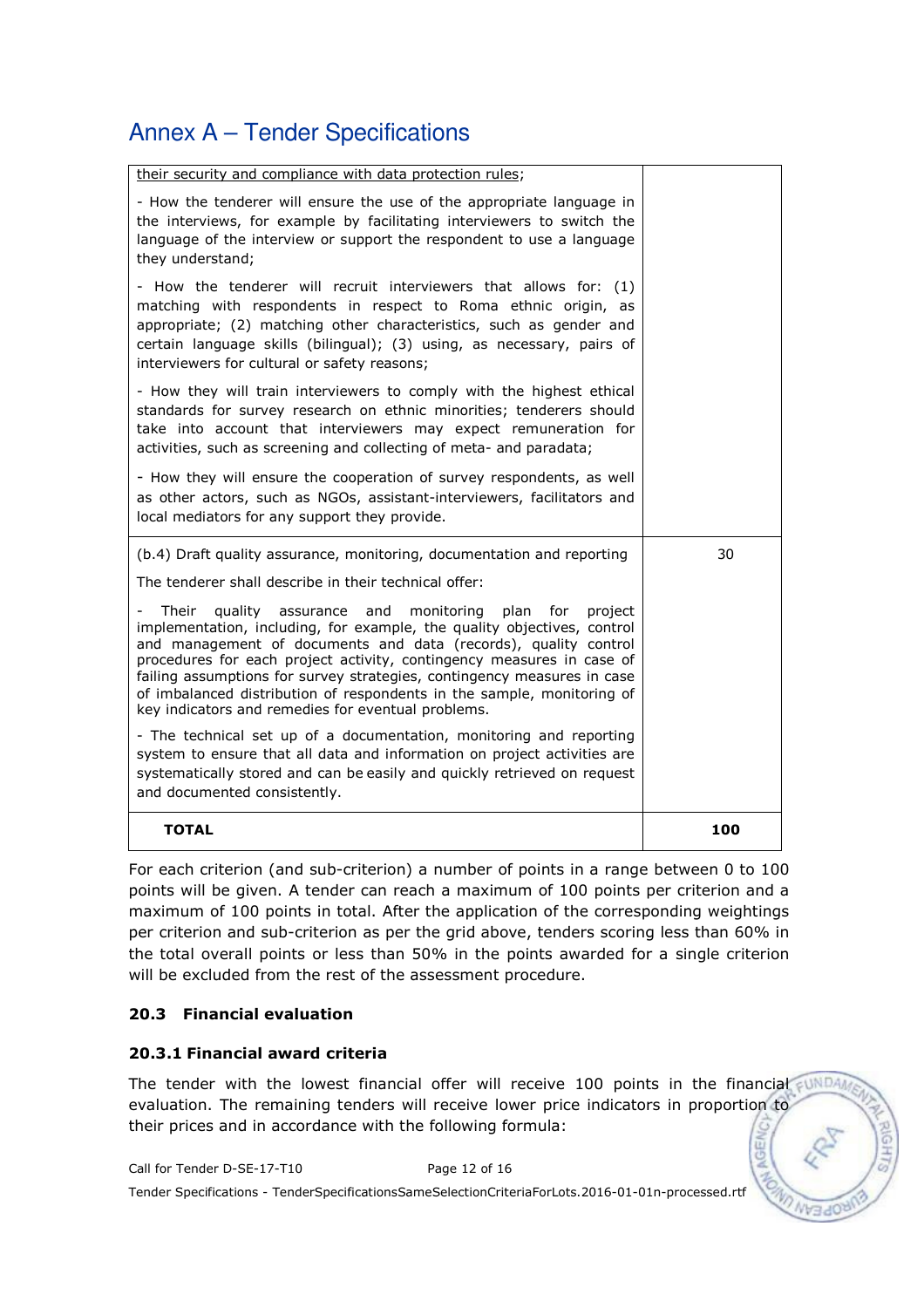| their security and compliance with data protection rules;                                                                                                                                                                                                                                                                                                                                                                                                                                                |     |
|----------------------------------------------------------------------------------------------------------------------------------------------------------------------------------------------------------------------------------------------------------------------------------------------------------------------------------------------------------------------------------------------------------------------------------------------------------------------------------------------------------|-----|
| - How the tenderer will ensure the use of the appropriate language in<br>the interviews, for example by facilitating interviewers to switch the<br>language of the interview or support the respondent to use a language<br>they understand;                                                                                                                                                                                                                                                             |     |
| - How the tenderer will recruit interviewers that allows for: (1)<br>matching with respondents in respect to Roma ethnic origin, as<br>appropriate; (2) matching other characteristics, such as gender and<br>certain language skills (bilingual); (3) using, as necessary, pairs of<br>interviewers for cultural or safety reasons;                                                                                                                                                                     |     |
| - How they will train interviewers to comply with the highest ethical<br>standards for survey research on ethnic minorities; tenderers should<br>take into account that interviewers may expect remuneration for<br>activities, such as screening and collecting of meta- and paradata;                                                                                                                                                                                                                  |     |
| - How they will ensure the cooperation of survey respondents, as well<br>as other actors, such as NGOs, assistant-interviewers, facilitators and<br>local mediators for any support they provide.                                                                                                                                                                                                                                                                                                        |     |
| (b.4) Draft quality assurance, monitoring, documentation and reporting<br>The tenderer shall describe in their technical offer:                                                                                                                                                                                                                                                                                                                                                                          | 30  |
| Their<br>quality assurance and<br>monitoring<br>plan<br>for<br>project<br>implementation, including, for example, the quality objectives, control<br>and management of documents and data (records), quality control<br>procedures for each project activity, contingency measures in case of<br>failing assumptions for survey strategies, contingency measures in case<br>of imbalanced distribution of respondents in the sample, monitoring of<br>key indicators and remedies for eventual problems. |     |
| - The technical set up of a documentation, monitoring and reporting<br>system to ensure that all data and information on project activities are<br>systematically stored and can be easily and quickly retrieved on request<br>and documented consistently.                                                                                                                                                                                                                                              |     |
| <b>TOTAL</b>                                                                                                                                                                                                                                                                                                                                                                                                                                                                                             | 100 |

For each criterion (and sub-criterion) a number of points in a range between 0 to 100 points will be given. A tender can reach a maximum of 100 points per criterion and a maximum of 100 points in total. After the application of the corresponding weightings per criterion and sub-criterion as per the grid above, tenders scoring less than 60% in the total overall points or less than 50% in the points awarded for a single criterion will be excluded from the rest of the assessment procedure.

### 20.3 Financial evaluation

#### 20.3.1 Financial award criteria

The tender with the lowest financial offer will receive 100 points in the financial sunDAM evaluation. The remaining tenders will receive lower price indicators in proportion to their prices and in accordance with the following formula:

Call for Tender D-SE-17-T10 Page 12 of 16

Tender Specifications - TenderSpecificationsSameSelectionCriteriaForLots.2016-01-01n-processed.rtf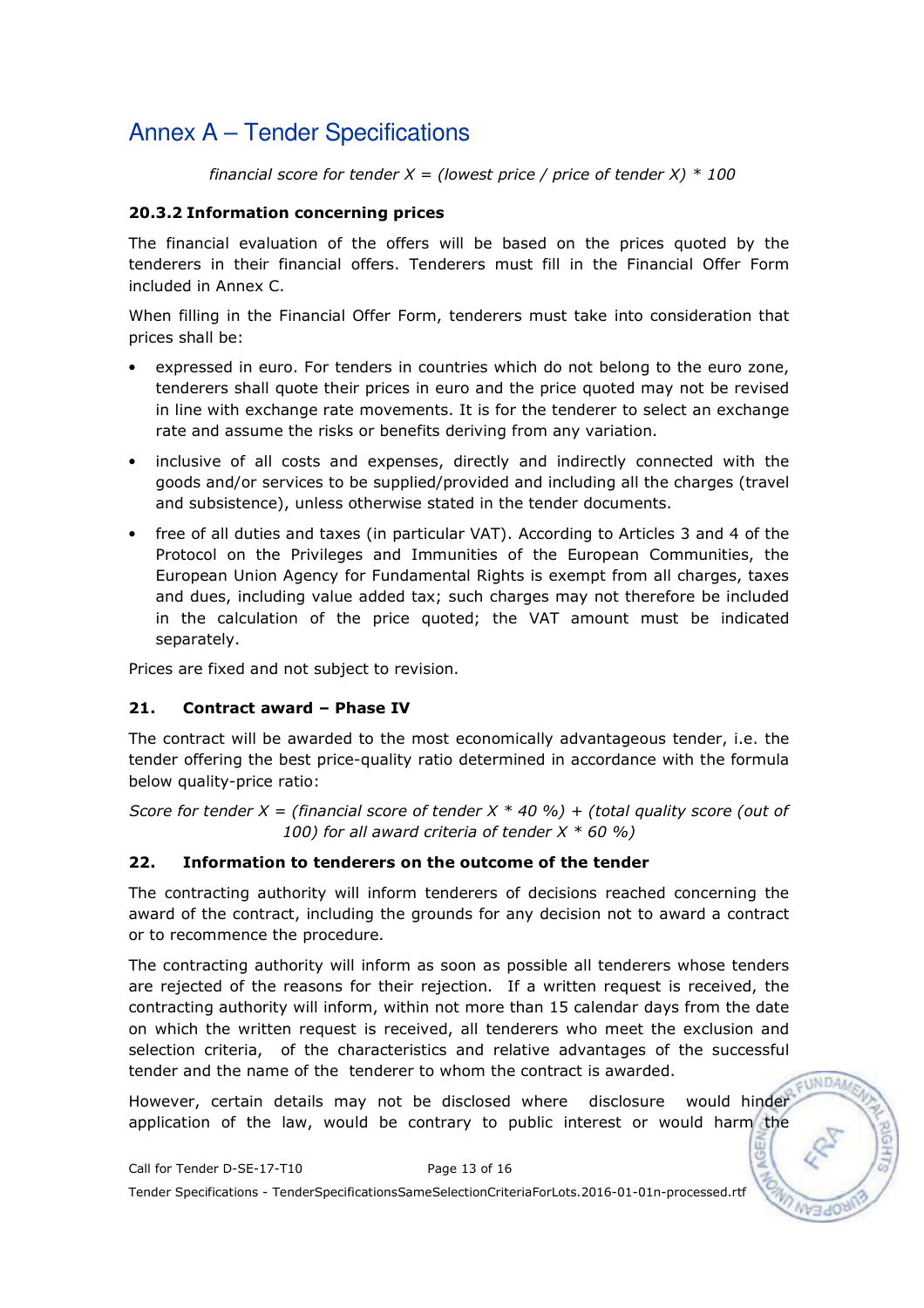financial score for tender  $X =$  (lowest price / price of tender X)  $*$  100

### 20.3.2 Information concerning prices

The financial evaluation of the offers will be based on the prices quoted by the tenderers in their financial offers. Tenderers must fill in the Financial Offer Form included in Annex C.

When filling in the Financial Offer Form, tenderers must take into consideration that prices shall be:

- expressed in euro. For tenders in countries which do not belong to the euro zone, tenderers shall quote their prices in euro and the price quoted may not be revised in line with exchange rate movements. It is for the tenderer to select an exchange rate and assume the risks or benefits deriving from any variation.
- inclusive of all costs and expenses, directly and indirectly connected with the goods and/or services to be supplied/provided and including all the charges (travel and subsistence), unless otherwise stated in the tender documents.
- free of all duties and taxes (in particular VAT). According to Articles 3 and 4 of the Protocol on the Privileges and Immunities of the European Communities, the European Union Agency for Fundamental Rights is exempt from all charges, taxes and dues, including value added tax; such charges may not therefore be included in the calculation of the price quoted; the VAT amount must be indicated separately.

Prices are fixed and not subject to revision.

### 21. Contract award – Phase IV

The contract will be awarded to the most economically advantageous tender, i.e. the tender offering the best price-quality ratio determined in accordance with the formula below quality-price ratio:

Score for tender X = (financial score of tender X  $*$  40 %) + (total quality score (out of 100) for all award criteria of tender  $X * 60 %$ 

### 22. Information to tenderers on the outcome of the tender

The contracting authority will inform tenderers of decisions reached concerning the award of the contract, including the grounds for any decision not to award a contract or to recommence the procedure.

The contracting authority will inform as soon as possible all tenderers whose tenders are rejected of the reasons for their rejection. If a written request is received, the contracting authority will inform, within not more than 15 calendar days from the date on which the written request is received, all tenderers who meet the exclusion and selection criteria, of the characteristics and relative advantages of the successful tender and the name of the tenderer to whom the contract is awarded.

However, certain details may not be disclosed where disclosure would hinder application of the law, would be contrary to public interest or would harm the

EUNDA/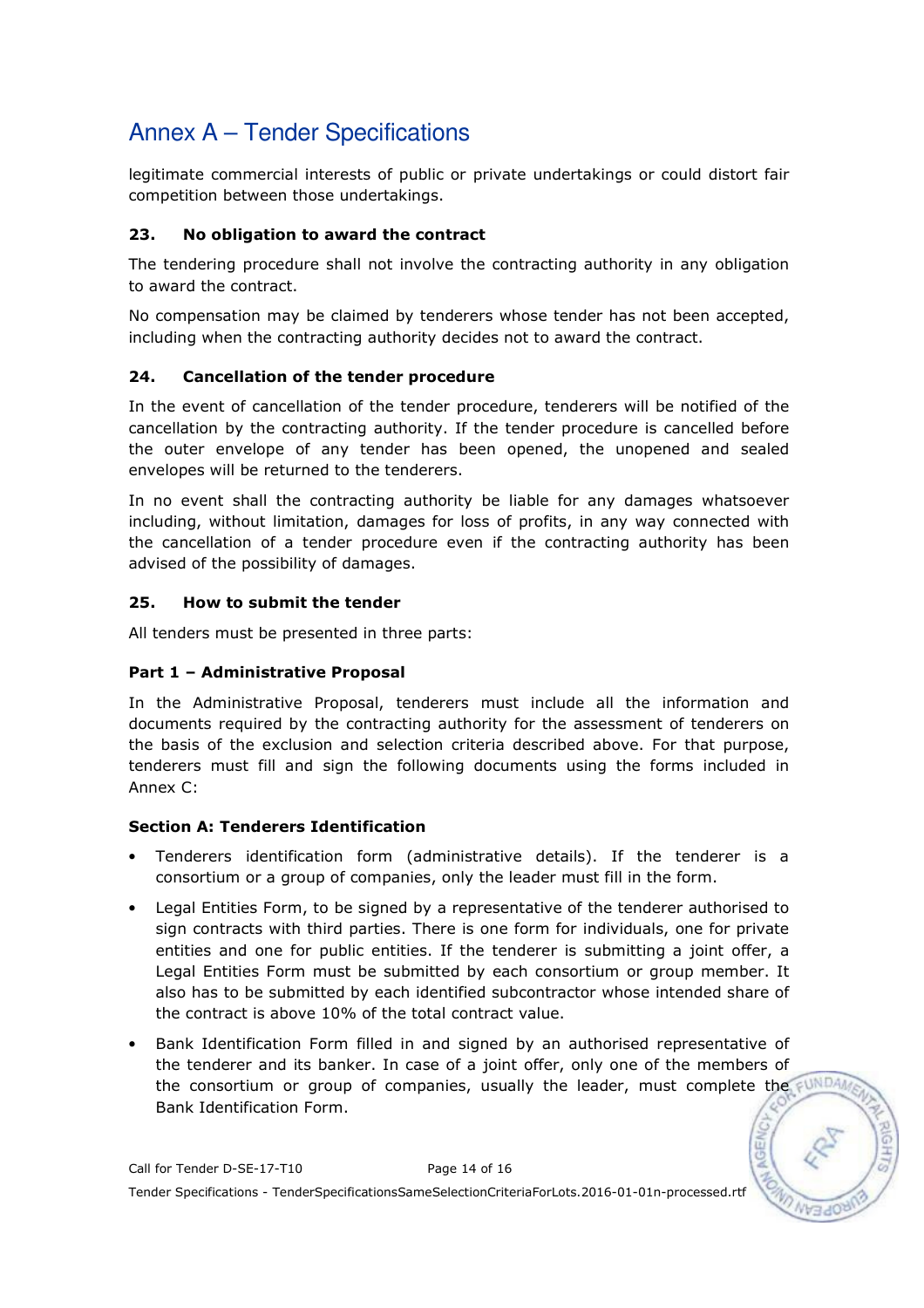legitimate commercial interests of public or private undertakings or could distort fair competition between those undertakings.

### 23. No obligation to award the contract

The tendering procedure shall not involve the contracting authority in any obligation to award the contract.

No compensation may be claimed by tenderers whose tender has not been accepted, including when the contracting authority decides not to award the contract.

### 24. Cancellation of the tender procedure

In the event of cancellation of the tender procedure, tenderers will be notified of the cancellation by the contracting authority. If the tender procedure is cancelled before the outer envelope of any tender has been opened, the unopened and sealed envelopes will be returned to the tenderers.

In no event shall the contracting authority be liable for any damages whatsoever including, without limitation, damages for loss of profits, in any way connected with the cancellation of a tender procedure even if the contracting authority has been advised of the possibility of damages.

### 25. How to submit the tender

All tenders must be presented in three parts:

### Part 1 – Administrative Proposal

In the Administrative Proposal, tenderers must include all the information and documents required by the contracting authority for the assessment of tenderers on the basis of the exclusion and selection criteria described above. For that purpose, tenderers must fill and sign the following documents using the forms included in Annex C:

### Section A: Tenderers Identification

- Tenderers identification form (administrative details). If the tenderer is a consortium or a group of companies, only the leader must fill in the form.
- Legal Entities Form, to be signed by a representative of the tenderer authorised to sign contracts with third parties. There is one form for individuals, one for private entities and one for public entities. If the tenderer is submitting a joint offer, a Legal Entities Form must be submitted by each consortium or group member. It also has to be submitted by each identified subcontractor whose intended share of the contract is above 10% of the total contract value.
- Bank Identification Form filled in and signed by an authorised representative of the tenderer and its banker. In case of a joint offer, only one of the members of the consortium or group of companies, usually the leader, must complete the FUNDA Bank Identification Form.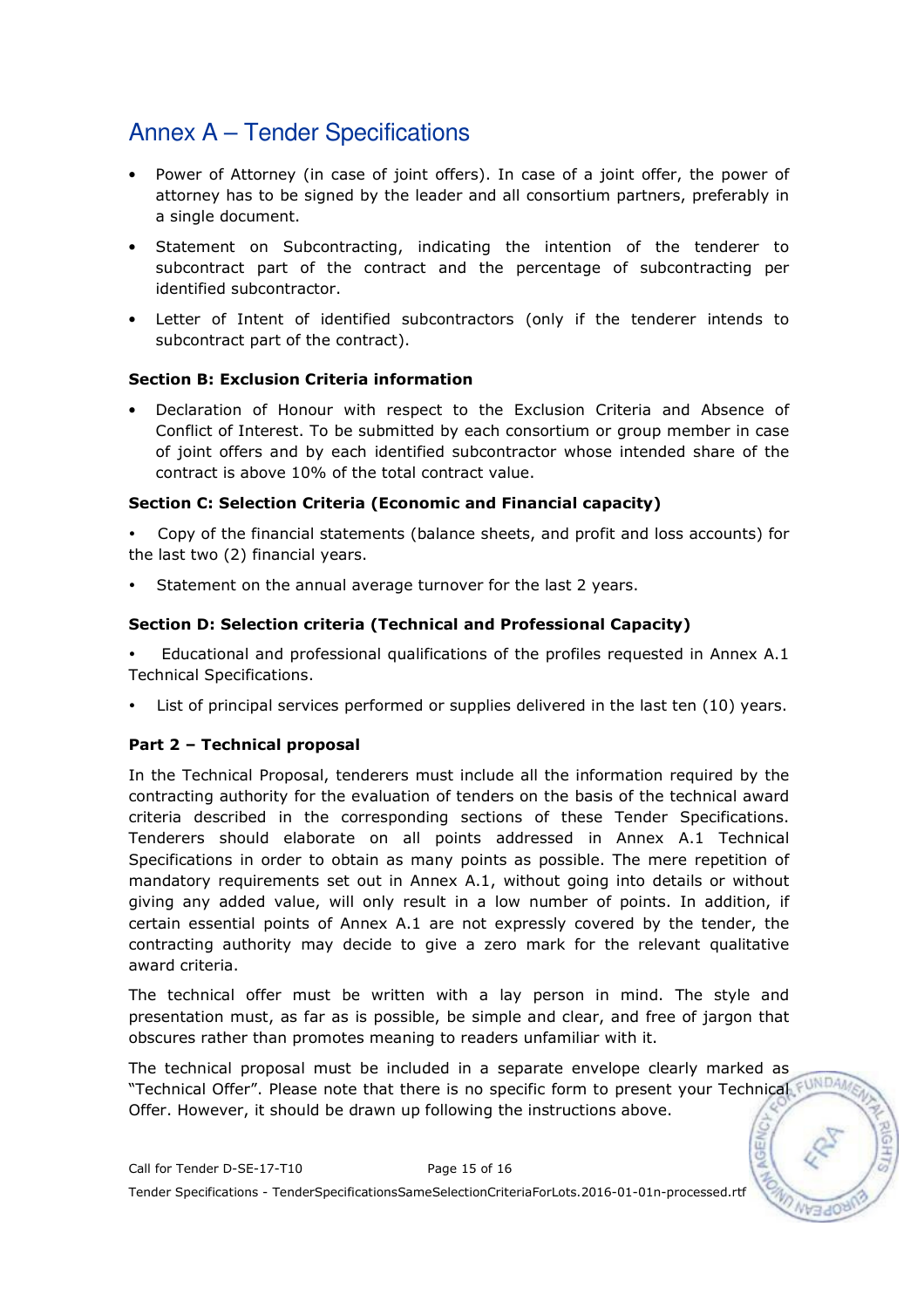- Power of Attorney (in case of joint offers). In case of a joint offer, the power of attorney has to be signed by the leader and all consortium partners, preferably in a single document.
- Statement on Subcontracting, indicating the intention of the tenderer to subcontract part of the contract and the percentage of subcontracting per identified subcontractor.
- Letter of Intent of identified subcontractors (only if the tenderer intends to subcontract part of the contract).

### Section B: Exclusion Criteria information

• Declaration of Honour with respect to the Exclusion Criteria and Absence of Conflict of Interest. To be submitted by each consortium or group member in case of joint offers and by each identified subcontractor whose intended share of the contract is above 10% of the total contract value.

### Section C: Selection Criteria (Economic and Financial capacity)

- Copy of the financial statements (balance sheets, and profit and loss accounts) for the last two (2) financial years.

-Statement on the annual average turnover for the last 2 years.

### Section D: Selection criteria (Technical and Professional Capacity)

- Educational and professional qualifications of the profiles requested in Annex A.1 Technical Specifications.

-List of principal services performed or supplies delivered in the last ten (10) years.

### Part 2 – Technical proposal

In the Technical Proposal, tenderers must include all the information required by the contracting authority for the evaluation of tenders on the basis of the technical award criteria described in the corresponding sections of these Tender Specifications. Tenderers should elaborate on all points addressed in Annex A.1 Technical Specifications in order to obtain as many points as possible. The mere repetition of mandatory requirements set out in Annex A.1, without going into details or without giving any added value, will only result in a low number of points. In addition, if certain essential points of Annex A.1 are not expressly covered by the tender, the contracting authority may decide to give a zero mark for the relevant qualitative award criteria.

The technical offer must be written with a lay person in mind. The style and presentation must, as far as is possible, be simple and clear, and free of jargon that obscures rather than promotes meaning to readers unfamiliar with it.

The technical proposal must be included in a separate envelope clearly marked as "Technical Offer". Please note that there is no specific form to present your Technical FUND. Offer. However, it should be drawn up following the instructions above.